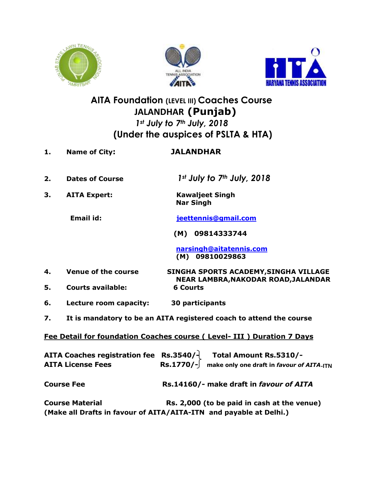





## **AITA Foundation (LEVEL III) Coaches Course** **JALANDHAR (Punjab)** *1st July to 7th July, 2018*  **(Under the auspices of PSLTA & HTA)**

- **1. Name of City: JALANDHAR**
- **2. Dates of Course** *1st July to 7th July, 2018*
- **3. AITA Expert: Kawaljeet Singh Nar Singh**

**Email id: [jeettennis@gmail.com](mailto:jeettennis@gmail.com)**

 **(M) 09814333744**

 **[narsingh@aitatennis.com](mailto:narsingh@aitatennis.com) (M) 09810029863**

- **4. Venue of the course SINGHA SPORTS ACADEMY,SINGHA VILLAGE**
- **NEAR LAMBRA,NAKODAR ROAD,JALANDAR 5. Courts available: 6 Courts**
- **6. Lecture room capacity: 30 participants**
- **7. It is mandatory to be an AITA registered coach to attend the course**

**Fee Detail for foundation Coaches course ( Level- III ) Duration 7 Days**

|                          | AITA Coaches registration fee $\$ Rs.3540/- Total Amount Rs.5310/-  |
|--------------------------|---------------------------------------------------------------------|
| <b>AITA License Fees</b> | $\text{Rs.1770}/\text{-}$ make only one draft in favour of AITA-ITN |
| <b>Course Fee</b>        | Rs.14160/- make draft in favour of AITA                             |
| <b>Course Material</b>   | Rs. 2,000 (to be paid in cash at the venue)                         |
|                          | (Make all Drafts in favour of AITA/AITA-ITN and payable at Delhi.)  |